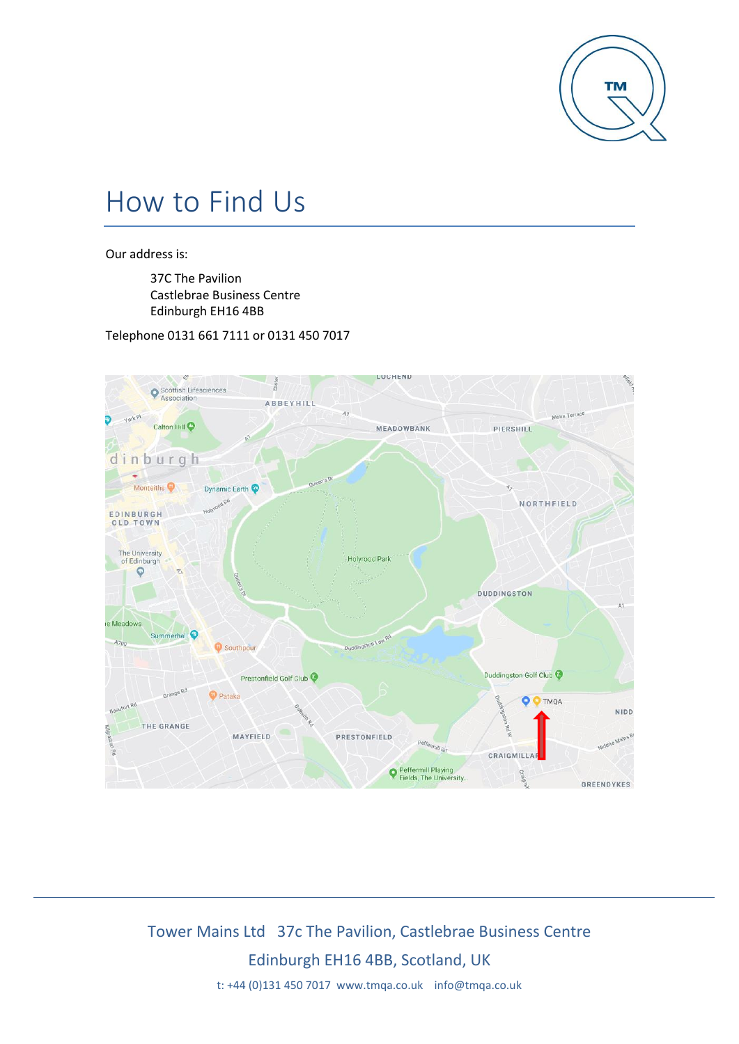

# How to Find Us

Our address is:

37C The Pavilion Castlebrae Business Centre Edinburgh EH16 4BB

Telephone 0131 661 7111 or 0131 450 7017



## Tower Mains Ltd 37c The Pavilion, Castlebrae Business Centre Edinburgh EH16 4BB, Scotland, UK

t: +44 (0)131 450 7017 www.tmqa.co.uk info@tmqa.co.uk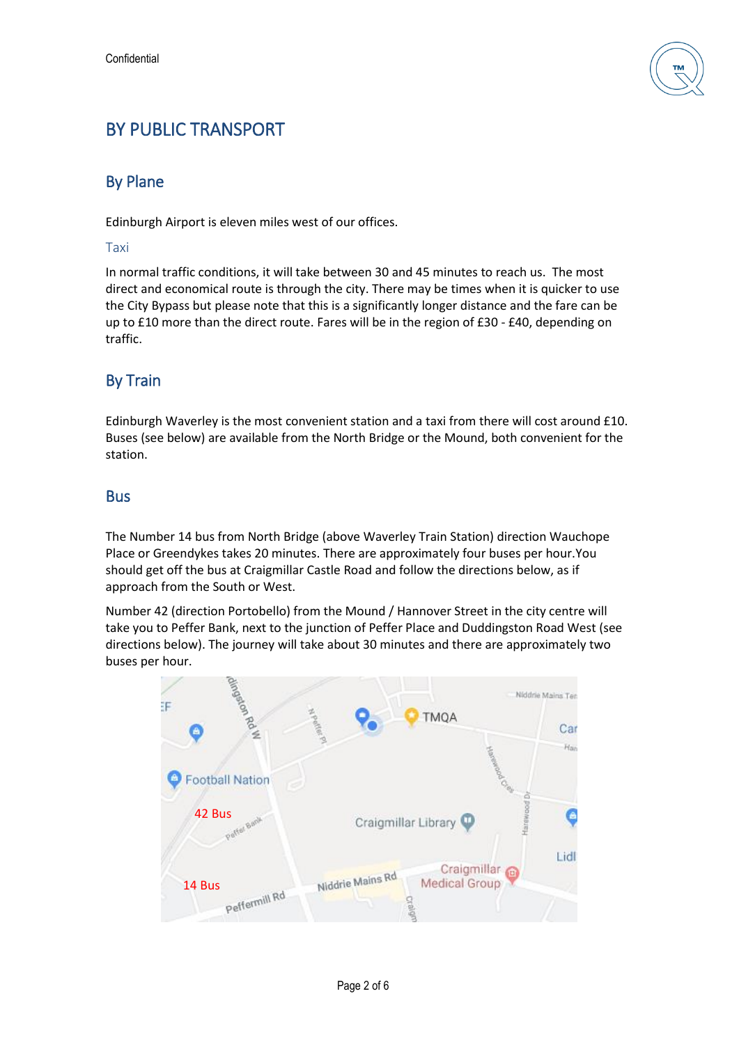

### BY PUBLIC TRANSPORT

#### By Plane

Edinburgh Airport is eleven miles west of our offices.

#### Taxi

In normal traffic conditions, it will take between 30 and 45 minutes to reach us. The most direct and economical route is through the city. There may be times when it is quicker to use the City Bypass but please note that this is a significantly longer distance and the fare can be up to £10 more than the direct route. Fares will be in the region of £30 - £40, depending on traffic.

#### By Train

Edinburgh Waverley is the most convenient station and a taxi from there will cost around £10. Buses (see below) are available from the North Bridge or the Mound, both convenient for the station.

#### Bus

The Number 14 bus from North Bridge (above Waverley Train Station) direction Wauchope Place or Greendykes takes 20 minutes. There are approximately four buses per hour.You should get off the bus at Craigmillar Castle Road and follow the directions below, as if approach from the South or West.

Number 42 (direction Portobello) from the Mound / Hannover Street in the city centre will take you to Peffer Bank, next to the junction of Peffer Place and Duddingston Road West (see directions below). The journey will take about 30 minutes and there are approximately two buses per hour.

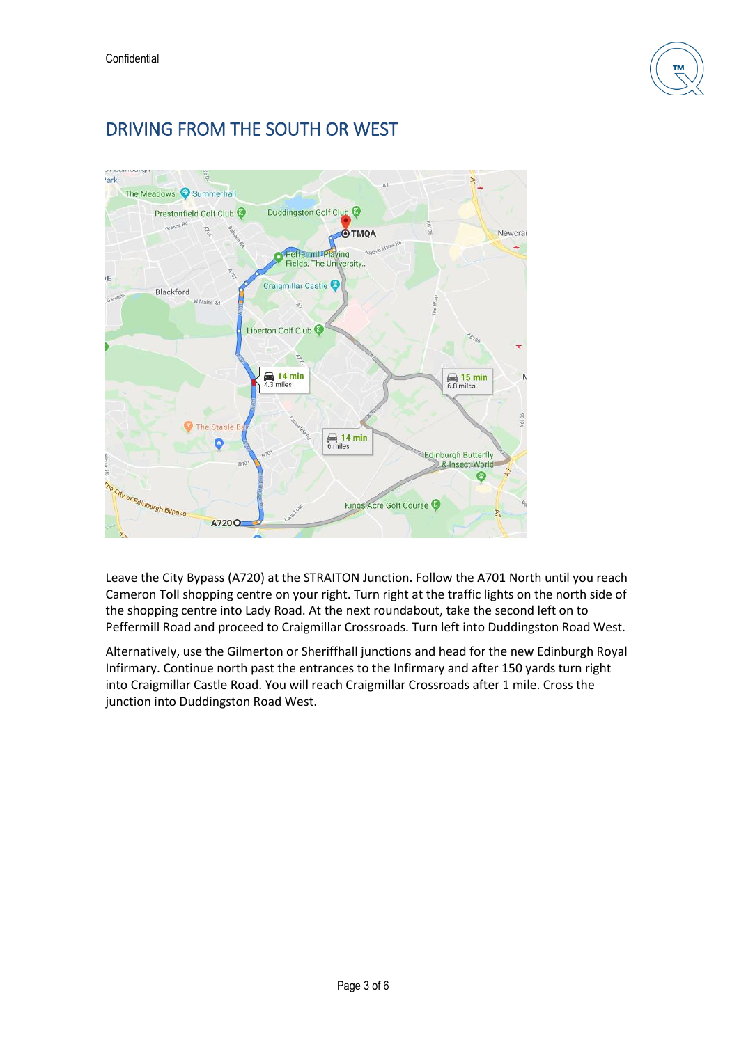

### DRIVING FROM THE SOUTH OR WEST



Leave the City Bypass (A720) at the STRAITON Junction. Follow the A701 North until you reach Cameron Toll shopping centre on your right. Turn right at the traffic lights on the north side of the shopping centre into Lady Road. At the next roundabout, take the second left on to Peffermill Road and proceed to Craigmillar Crossroads. Turn left into Duddingston Road West.

Alternatively, use the Gilmerton or Sheriffhall junctions and head for the new Edinburgh Royal Infirmary. Continue north past the entrances to the Infirmary and after 150 yards turn right into Craigmillar Castle Road. You will reach Craigmillar Crossroads after 1 mile. Cross the junction into Duddingston Road West.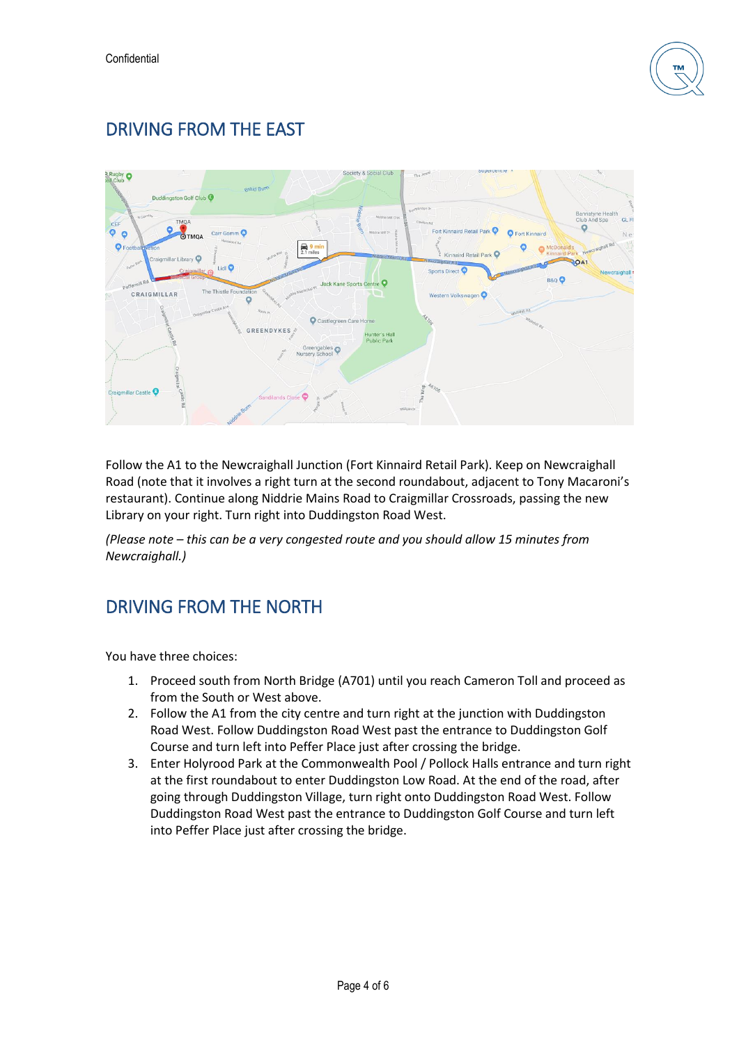

### DRIVING FROM THE EAST



Follow the A1 to the Newcraighall Junction (Fort Kinnaird Retail Park). Keep on Newcraighall Road (note that it involves a right turn at the second roundabout, adjacent to Tony Macaroni's restaurant). Continue along Niddrie Mains Road to Craigmillar Crossroads, passing the new Library on your right. Turn right into Duddingston Road West.

*(Please note – this can be a very congested route and you should allow 15 minutes from Newcraighall.)*

### DRIVING FROM THE NORTH

You have three choices:

- 1. Proceed south from North Bridge (A701) until you reach Cameron Toll and proceed as from the South or West above.
- 2. Follow the A1 from the city centre and turn right at the junction with Duddingston Road West. Follow Duddingston Road West past the entrance to Duddingston Golf Course and turn left into Peffer Place just after crossing the bridge.
- 3. Enter Holyrood Park at the Commonwealth Pool / Pollock Halls entrance and turn right at the first roundabout to enter Duddingston Low Road. At the end of the road, after going through Duddingston Village, turn right onto Duddingston Road West. Follow Duddingston Road West past the entrance to Duddingston Golf Course and turn left into Peffer Place just after crossing the bridge.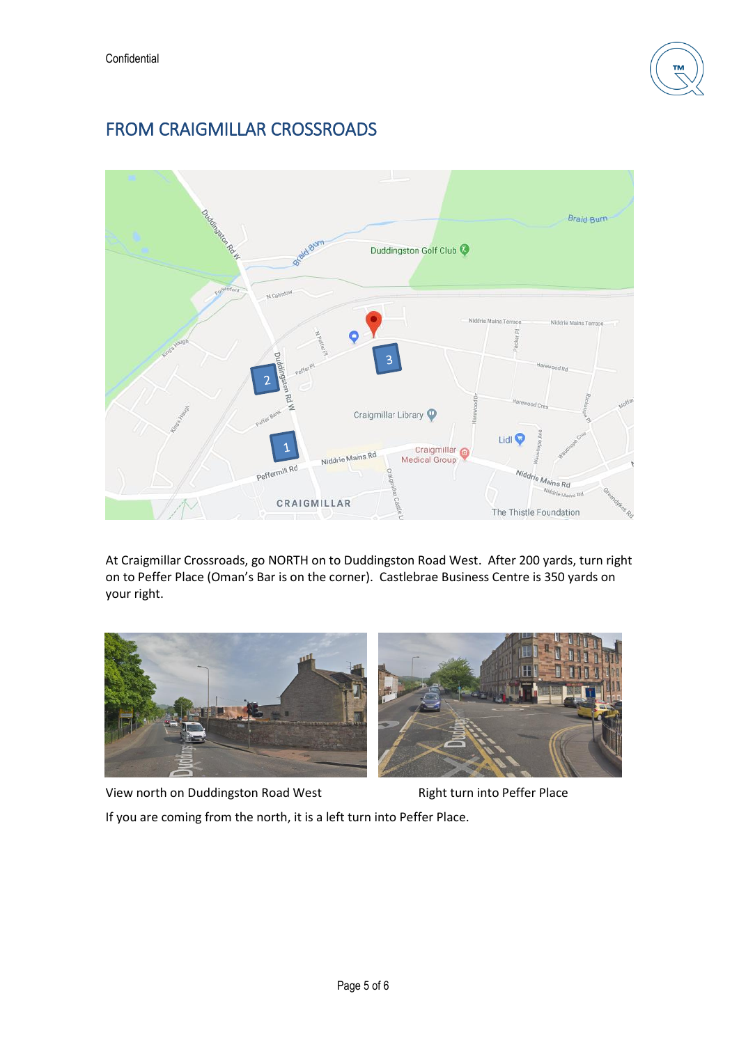

### FROM CRAIGMILLAR CROSSROADS



At Craigmillar Crossroads, go NORTH on to Duddingston Road West. After 200 yards, turn right on to Peffer Place (Oman's Bar is on the corner). Castlebrae Business Centre is 350 yards on your right.



View north on Duddingston Road West Right turn into Peffer Place

If you are coming from the north, it is a left turn into Peffer Place.